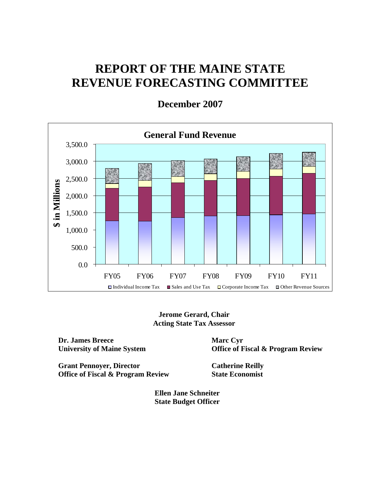# **REPORT OF THE MAINE STATE REVENUE FORECASTING COMMITTEE**



**December 2007** 

**Jerome Gerard, Chair Acting State Tax Assessor** 

**Dr. James Breece University of Maine System** 

**Office of Fiscal & Program Review** 

**Grant Pennoyer, Director Office of Fiscal & Program Review**  **Catherine Reilly State Economist** 

**Marc Cyr** 

**Ellen Jane Schneiter State Budget Officer**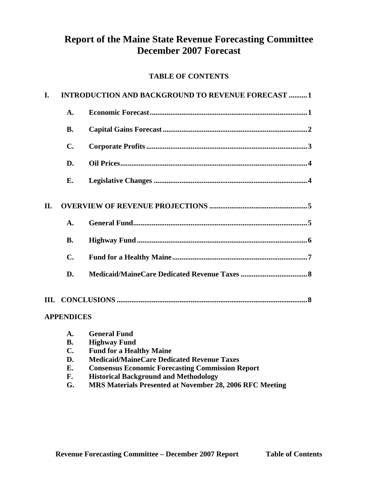# **Report of the Maine State Revenue Forecasting Committee December 2007 Forecast**

### **TABLE OF CONTENTS**

| I. |                   | <b>INTRODUCTION AND BACKGROUND TO REVENUE FORECAST 1</b> |
|----|-------------------|----------------------------------------------------------|
|    | A.                |                                                          |
|    | <b>B.</b>         |                                                          |
|    | C.                |                                                          |
|    | D.                |                                                          |
|    | Е.                |                                                          |
| П. |                   |                                                          |
|    | A.                |                                                          |
|    | <b>B.</b>         |                                                          |
|    | $\mathbf{C}$      |                                                          |
|    | D.                |                                                          |
|    |                   |                                                          |
|    | <b>APPENDICES</b> |                                                          |
|    |                   | <b>1.</b> Canaral Fund                                   |

| <b>A.</b>      | General Fund                                             |
|----------------|----------------------------------------------------------|
| <b>B.</b>      | <b>Highway Fund</b>                                      |
| $\mathbf{C}$ . | <b>Fund for a Healthy Maine</b>                          |
| D.             | <b>Medicaid/MaineCare Dedicated Revenue Taxes</b>        |
| Е.             | <b>Consensus Economic Forecasting Commission Report</b>  |
| F.             | <b>Historical Background and Methodology</b>             |
| G.             | MRS Materials Presented at November 28, 2006 RFC Meeting |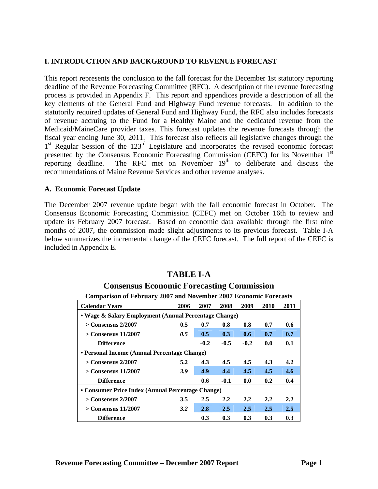#### **I. INTRODUCTION AND BACKGROUND TO REVENUE FORECAST**

This report represents the conclusion to the fall forecast for the December 1st statutory reporting deadline of the Revenue Forecasting Committee (RFC). A description of the revenue forecasting process is provided in Appendix F. This report and appendices provide a description of all the key elements of the General Fund and Highway Fund revenue forecasts. In addition to the statutorily required updates of General Fund and Highway Fund, the RFC also includes forecasts of revenue accruing to the Fund for a Healthy Maine and the dedicated revenue from the Medicaid/MaineCare provider taxes. This forecast updates the revenue forecasts through the fiscal year ending June 30, 2011. This forecast also reflects all legislative changes through the 1<sup>st</sup> Regular Session of the 123<sup>rd</sup> Legislature and incorporates the revised economic forecast presented by the Consensus Economic Forecasting Commission (CEFC) for its November 1st reporting deadline. The RFC met on November  $19<sup>th</sup>$  to deliberate and discuss the recommendations of Maine Revenue Services and other revenue analyses.

#### **A. Economic Forecast Update**

The December 2007 revenue update began with the fall economic forecast in October. The Consensus Economic Forecasting Commission (CEFC) met on October 16th to review and update its February 2007 forecast. Based on economic data available through the first nine months of 2007, the commission made slight adjustments to its previous forecast. Table I-A below summarizes the incremental change of the CEFC forecast. The full report of the CEFC is included in Appendix E.

# **TABLE I-A**

#### **Consensus Economic Forecasting Commission Comparison of February 2007 and November 2007 Economic Forecasts**

| <b>Calendar Years</b>                                 | 2006                                              | 2007   | 2008   | 2009   | <b>2010</b> | 2011             |  |  |  |  |
|-------------------------------------------------------|---------------------------------------------------|--------|--------|--------|-------------|------------------|--|--|--|--|
| • Wage & Salary Employment (Annual Percentage Change) |                                                   |        |        |        |             |                  |  |  |  |  |
| $>$ Consensus 2/2007                                  | 0.5                                               | 0.7    | 0.8    | 0.8    | 0.7         | 0.6              |  |  |  |  |
| > Consensus 11/2007                                   | 0.5                                               | 0.5    | 0.3    | 0.6    | 0.7         | 0.7              |  |  |  |  |
| <b>Difference</b>                                     |                                                   | $-0.2$ | $-0.5$ | $-0.2$ | 0.0         | 0.1              |  |  |  |  |
| • Personal Income (Annual Percentage Change)          |                                                   |        |        |        |             |                  |  |  |  |  |
| $>$ Consensus 2/2007                                  | 5.2                                               | 4.3    | 4.5    | 4.5    | 4.3         | 4.2              |  |  |  |  |
| $>$ Consensus 11/2007                                 | 3.9                                               | 4.9    | 4.4    | 4.5    | 4.5         | 4.6              |  |  |  |  |
| <b>Difference</b>                                     |                                                   | 0.6    | $-0.1$ | 0.0    | 0.2         | 0.4              |  |  |  |  |
|                                                       | • Consumer Price Index (Annual Percentage Change) |        |        |        |             |                  |  |  |  |  |
| $>$ Consensus 2/2007                                  | 3.5                                               | 2.5    | 2.2    | 2.2    | 2.2         | $2.2\phantom{0}$ |  |  |  |  |
| $>$ Consensus 11/2007                                 | 3.2                                               | 2.8    | 2.5    | 2.5    | 2.5         | 2.5              |  |  |  |  |
| <b>Difference</b>                                     |                                                   | 0.3    | 0.3    | 0.3    | 0.3         | 0.3              |  |  |  |  |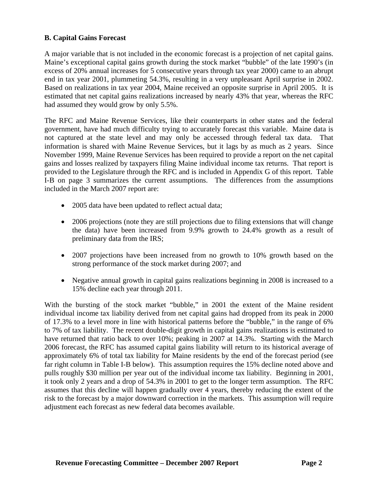#### **B. Capital Gains Forecast**

A major variable that is not included in the economic forecast is a projection of net capital gains. Maine's exceptional capital gains growth during the stock market "bubble" of the late 1990's (in excess of 20% annual increases for 5 consecutive years through tax year 2000) came to an abrupt end in tax year 2001, plummeting 54.3%, resulting in a very unpleasant April surprise in 2002. Based on realizations in tax year 2004, Maine received an opposite surprise in April 2005. It is estimated that net capital gains realizations increased by nearly 43% that year, whereas the RFC had assumed they would grow by only 5.5%.

The RFC and Maine Revenue Services, like their counterparts in other states and the federal government, have had much difficulty trying to accurately forecast this variable. Maine data is not captured at the state level and may only be accessed through federal tax data. That information is shared with Maine Revenue Services, but it lags by as much as 2 years. Since November 1999, Maine Revenue Services has been required to provide a report on the net capital gains and losses realized by taxpayers filing Maine individual income tax returns. That report is provided to the Legislature through the RFC and is included in Appendix G of this report. Table I-B on page 3 summarizes the current assumptions. The differences from the assumptions included in the March 2007 report are:

- 2005 data have been updated to reflect actual data;
- 2006 projections (note they are still projections due to filing extensions that will change the data) have been increased from 9.9% growth to 24.4% growth as a result of preliminary data from the IRS;
- 2007 projections have been increased from no growth to 10% growth based on the strong performance of the stock market during 2007; and
- Negative annual growth in capital gains realizations beginning in 2008 is increased to a 15% decline each year through 2011.

With the bursting of the stock market "bubble," in 2001 the extent of the Maine resident individual income tax liability derived from net capital gains had dropped from its peak in 2000 of 17.3% to a level more in line with historical patterns before the "bubble," in the range of 6% to 7% of tax liability. The recent double-digit growth in capital gains realizations is estimated to have returned that ratio back to over 10%; peaking in 2007 at 14.3%. Starting with the March 2006 forecast, the RFC has assumed capital gains liability will return to its historical average of approximately 6% of total tax liability for Maine residents by the end of the forecast period (see far right column in Table I-B below). This assumption requires the 15% decline noted above and pulls roughly \$30 million per year out of the individual income tax liability. Beginning in 2001, it took only 2 years and a drop of 54.3% in 2001 to get to the longer term assumption. The RFC assumes that this decline will happen gradually over 4 years, thereby reducing the extent of the risk to the forecast by a major downward correction in the markets. This assumption will require adjustment each forecast as new federal data becomes available.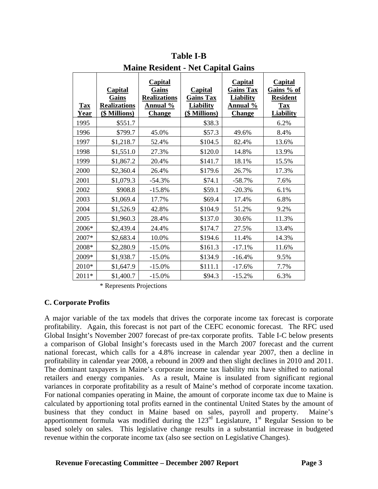| <b>Tax</b><br>Year | <b>Capital</b><br>Gains<br><b>Realizations</b><br>(\$ Millions) | <b>Capital</b><br>Gains<br><b>Realizations</b><br><b>Annual</b> %<br><b>Change</b> | <b>Capital</b><br><b>Gains Tax</b><br><b>Liability</b><br>(\$ Millions) | <b>Capital</b><br><b>Gains Tax</b><br><b>Liability</b><br><u>Annual %</u><br><b>Change</b> | <b>Capital</b><br>Gains % of<br><b>Resident</b><br><b>Tax</b><br><b>Liability</b> |
|--------------------|-----------------------------------------------------------------|------------------------------------------------------------------------------------|-------------------------------------------------------------------------|--------------------------------------------------------------------------------------------|-----------------------------------------------------------------------------------|
| 1995               | \$551.7                                                         |                                                                                    | \$38.3                                                                  |                                                                                            | 6.2%                                                                              |
| 1996               | \$799.7                                                         | 45.0%                                                                              | \$57.3                                                                  | 49.6%                                                                                      | 8.4%                                                                              |
| 1997               | \$1,218.7                                                       | 52.4%                                                                              | \$104.5                                                                 | 82.4%                                                                                      | 13.6%                                                                             |
| 1998               | \$1,551.0                                                       | 27.3%                                                                              | \$120.0                                                                 | 14.8%                                                                                      | 13.9%                                                                             |
| 1999               | \$1,867.2                                                       | 20.4%                                                                              | \$141.7                                                                 | 18.1%                                                                                      | 15.5%                                                                             |
| 2000               | \$2,360.4                                                       | 26.4%                                                                              | \$179.6                                                                 | 26.7%                                                                                      | 17.3%                                                                             |
| 2001               | \$1,079.3                                                       | $-54.3%$                                                                           | \$74.1                                                                  | $-58.7%$                                                                                   | 7.6%                                                                              |
| 2002               | \$908.8                                                         | $-15.8%$                                                                           | \$59.1                                                                  | $-20.3%$                                                                                   | 6.1%                                                                              |
| 2003               | \$1,069.4                                                       | 17.7%                                                                              | \$69.4                                                                  | 17.4%                                                                                      | 6.8%                                                                              |
| 2004               | \$1,526.9                                                       | 42.8%                                                                              | \$104.9                                                                 | 51.2%                                                                                      | 9.2%                                                                              |
| 2005               | \$1,960.3                                                       | 28.4%                                                                              | \$137.0                                                                 | 30.6%                                                                                      | 11.3%                                                                             |
| 2006*              | \$2,439.4                                                       | 24.4%                                                                              | \$174.7                                                                 | 27.5%                                                                                      | 13.4%                                                                             |
| 2007*              | \$2,683.4                                                       | 10.0%                                                                              | \$194.6                                                                 | 11.4%                                                                                      | 14.3%                                                                             |
| 2008*              | \$2,280.9                                                       | $-15.0%$                                                                           | \$161.3                                                                 | $-17.1%$                                                                                   | 11.6%                                                                             |
| 2009*              | \$1,938.7                                                       | $-15.0%$                                                                           | \$134.9                                                                 | $-16.4%$                                                                                   | 9.5%                                                                              |
| 2010*              | \$1,647.9                                                       | $-15.0%$                                                                           | \$111.1                                                                 | $-17.6%$                                                                                   | 7.7%                                                                              |
| 2011*              | \$1,400.7                                                       | $-15.0%$                                                                           | \$94.3                                                                  | $-15.2%$                                                                                   | 6.3%                                                                              |

**Table I-B Maine Resident - Net Capital Gains** 

\* Represents Projections

#### **C. Corporate Profits**

A major variable of the tax models that drives the corporate income tax forecast is corporate profitability. Again, this forecast is not part of the CEFC economic forecast. The RFC used Global Insight's November 2007 forecast of pre-tax corporate profits. Table I-C below presents a comparison of Global Insight's forecasts used in the March 2007 forecast and the current national forecast, which calls for a 4.8% increase in calendar year 2007, then a decline in profitability in calendar year 2008, a rebound in 2009 and then slight declines in 2010 and 2011. The dominant taxpayers in Maine's corporate income tax liability mix have shifted to national retailers and energy companies. As a result, Maine is insulated from significant regional variances in corporate profitability as a result of Maine's method of corporate income taxation. For national companies operating in Maine, the amount of corporate income tax due to Maine is calculated by apportioning total profits earned in the continental United States by the amount of business that they conduct in Maine based on sales, payroll and property. Maine's apportionment formula was modified during the  $123<sup>rd</sup>$  Legislature, 1<sup>st</sup> Regular Session to be based solely on sales. This legislative change results in a substantial increase in budgeted revenue within the corporate income tax (also see section on Legislative Changes).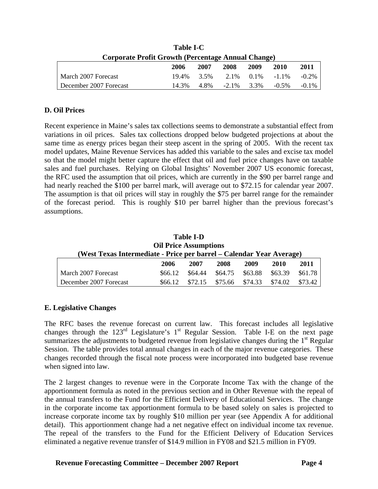| Corporate Profit Growth (Percentage Annual Change) |       |      |               |      |                      |          |  |  |  |
|----------------------------------------------------|-------|------|---------------|------|----------------------|----------|--|--|--|
|                                                    | 2006  | 2007 | 2008          | 2009 | 2010                 | 2011     |  |  |  |
| March 2007 Forecast                                | 19.4% | 3.5% |               |      | $2.1\%$ 0.1\% -1.1\% | $-0.2\%$ |  |  |  |
| December 2007 Forecast                             | 14 3% | 4.8% | $-2.1\%$ 3.3% |      | $-0.5\%$             | $-0.1\%$ |  |  |  |

**Table I-C** 

#### **D. Oil Prices**

Recent experience in Maine's sales tax collections seems to demonstrate a substantial effect from variations in oil prices. Sales tax collections dropped below budgeted projections at about the same time as energy prices began their steep ascent in the spring of 2005. With the recent tax model updates, Maine Revenue Services has added this variable to the sales and excise tax model so that the model might better capture the effect that oil and fuel price changes have on taxable sales and fuel purchases. Relying on Global Insights' November 2007 US economic forecast, the RFC used the assumption that oil prices, which are currently in the \$90 per barrel range and had nearly reached the \$100 per barrel mark, will average out to \$72.15 for calendar year 2007. The assumption is that oil prices will stay in roughly the \$75 per barrel range for the remainder of the forecast period. This is roughly \$10 per barrel higher than the previous forecast's assumptions.

| <b>Table I-D</b>                                                     |         |         |         |         |         |         |  |  |
|----------------------------------------------------------------------|---------|---------|---------|---------|---------|---------|--|--|
| <b>Oil Price Assumptions</b>                                         |         |         |         |         |         |         |  |  |
| (West Texas Intermediate - Price per barrel – Calendar Year Average) |         |         |         |         |         |         |  |  |
|                                                                      | 2006    | 2007    | 2008    | 2009    | 2010    | 2011    |  |  |
| March 2007 Forecast                                                  | \$66.12 | \$64.44 | \$64.75 | \$63.88 | \$63.39 | \$61.78 |  |  |
| December 2007 Forecast                                               | \$66.12 | \$72.15 | \$75.66 | \$74.33 | \$74.02 | \$73.42 |  |  |

#### **E. Legislative Changes**

The RFC bases the revenue forecast on current law. This forecast includes all legislative changes through the  $123<sup>rd</sup>$  Legislature's 1<sup>st</sup> Regular Session. Table I-E on the next page summarizes the adjustments to budgeted revenue from legislative changes during the  $1<sup>st</sup>$  Regular Session. The table provides total annual changes in each of the major revenue categories. These changes recorded through the fiscal note process were incorporated into budgeted base revenue when signed into law.

The 2 largest changes to revenue were in the Corporate Income Tax with the change of the apportionment formula as noted in the previous section and in Other Revenue with the repeal of the annual transfers to the Fund for the Efficient Delivery of Educational Services. The change in the corporate income tax apportionment formula to be based solely on sales is projected to increase corporate income tax by roughly \$10 million per year (see Appendix A for additional detail). This apportionment change had a net negative effect on individual income tax revenue. The repeal of the transfers to the Fund for the Efficient Delivery of Education Services eliminated a negative revenue transfer of \$14.9 million in FY08 and \$21.5 million in FY09.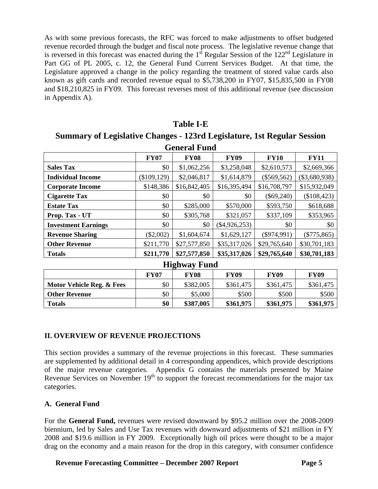As with some previous forecasts, the RFC was forced to make adjustments to offset budgeted revenue recorded through the budget and fiscal note process. The legislative revenue change that is reversed in this forecast was enacted during the  $1<sup>st</sup>$  Regular Session of the  $122<sup>nd</sup>$  Legislature in Part GG of PL 2005, c. 12, the General Fund Current Services Budget. At that time, the Legislature approved a change in the policy regarding the treatment of stored value cards also known as gift cards and recorded revenue equal to \$5,738,200 in FY07, \$15,835,500 in FY08 and \$18,210,825 in FY09. This forecast reverses most of this additional revenue (see discussion in Appendix A).

## **Table I-E**

# **Summary of Legislative Changes - 123rd Legislature, 1st Regular Session**

| <b>General Fund</b>        |                                                                         |              |                 |               |                 |  |  |  |  |
|----------------------------|-------------------------------------------------------------------------|--------------|-----------------|---------------|-----------------|--|--|--|--|
|                            | <b>FY09</b><br><b>FY10</b><br><b>FY11</b><br><b>FY07</b><br><b>FY08</b> |              |                 |               |                 |  |  |  |  |
| <b>Sales Tax</b>           | \$0                                                                     | \$1,062,256  | \$3,258,048     | \$2,610,573   | \$2,669,366     |  |  |  |  |
| <b>Individual Income</b>   | (\$109,129)                                                             | \$2,046,817  | \$1,614,879     | $(\$569,562)$ | $(\$3,680,938)$ |  |  |  |  |
| <b>Corporate Income</b>    | \$148,386                                                               | \$16,842,405 | \$16,395,494    | \$16,708,797  | \$15,932,049    |  |  |  |  |
| <b>Cigarette Tax</b>       | \$0                                                                     | \$0          | \$0             | $(\$69,240)$  | (\$108,423)     |  |  |  |  |
| <b>Estate Tax</b>          | \$0                                                                     | \$285,000    | \$570,000       | \$593,750     | \$618,688       |  |  |  |  |
| Prop. Tax - UT             | \$0                                                                     | \$305,768    | \$321,057       | \$337,109     | \$353,965       |  |  |  |  |
| <b>Investment Earnings</b> | \$0                                                                     | \$0          | $(\$4,926,253)$ | \$0           | \$0             |  |  |  |  |
| <b>Revenue Sharing</b>     | $(\$2,002)$                                                             | \$1,604,674  | \$1,629,127     | $(\$974,991)$ | $(\$775,865)$   |  |  |  |  |
| <b>Other Revenue</b>       | \$211,770                                                               | \$27,577,850 | \$35,317,026    | \$29,765,640  | \$30,701,183    |  |  |  |  |
| <b>Totals</b>              | \$211,770                                                               | \$27,577,850 | \$35,317,026    | \$29,765,640  | \$30,701,183    |  |  |  |  |

| <b>Highway Fund</b>                                              |     |           |           |           |           |  |  |  |
|------------------------------------------------------------------|-----|-----------|-----------|-----------|-----------|--|--|--|
| <b>FY09</b><br><b>FY09</b><br><b>FY09</b><br><b>FY08</b><br>FY07 |     |           |           |           |           |  |  |  |
| Motor Vehicle Reg. & Fees                                        | \$0 | \$382,005 | \$361,475 | \$361,475 | \$361,475 |  |  |  |
| <b>Other Revenue</b>                                             | \$0 | \$5,000   | \$500     | \$500     | \$500     |  |  |  |
| <b>Totals</b>                                                    | \$0 | \$387,005 | \$361,975 | \$361,975 | \$361,975 |  |  |  |

#### **II. OVERVIEW OF REVENUE PROJECTIONS**

This section provides a summary of the revenue projections in this forecast. These summaries are supplemented by additional detail in 4 corresponding appendices, which provide descriptions of the major revenue categories. Appendix G contains the materials presented by Maine Revenue Services on November  $19<sup>th</sup>$  to support the forecast recommendations for the major tax categories.

#### **A. General Fund**

For the **General Fund,** revenues were revised downward by \$95.2 million over the 2008-2009 biennium, led by Sales and Use Tax revenues with downward adjustments of \$21 million in FY 2008 and \$19.6 million in FY 2009. Exceptionally high oil prices were thought to be a major drag on the economy and a main reason for the drop in this category, with consumer confidence

**Revenue Forecasting Committee – December 2007 Report Page 5**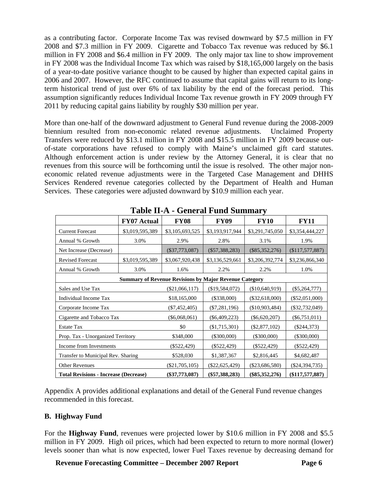as a contributing factor. Corporate Income Tax was revised downward by \$7.5 million in FY 2008 and \$7.3 million in FY 2009. Cigarette and Tobacco Tax revenue was reduced by \$6.1 million in FY 2008 and \$6.4 million in FY 2009. The only major tax line to show improvement in FY 2008 was the Individual Income Tax which was raised by \$18,165,000 largely on the basis of a year-to-date positive variance thought to be caused by higher than expected capital gains in 2006 and 2007. However, the RFC continued to assume that capital gains will return to its longterm historical trend of just over 6% of tax liability by the end of the forecast period. This assumption significantly reduces Individual Income Tax revenue growth in FY 2009 through FY 2011 by reducing capital gains liability by roughly \$30 million per year.

More than one-half of the downward adjustment to General Fund revenue during the 2008-2009 biennium resulted from non-economic related revenue adjustments. Unclaimed Property Transfers were reduced by \$13.1 million in FY 2008 and \$15.5 million in FY 2009 because outof-state corporations have refused to comply with Maine's unclaimed gift card statutes. Although enforcement action is under review by the Attorney General, it is clear that no revenues from this source will be forthcoming until the issue is resolved. The other major noneconomic related revenue adjustments were in the Targeted Case Management and DHHS Services Rendered revenue categories collected by the Department of Health and Human Services. These categories were adjusted downward by \$10.9 million each year.

|                                              | <b>FY07 Actual</b>                                            | <b>FY08</b>      | <b>FY09</b>      | <b>FY10</b>      | <b>FY11</b>      |  |  |
|----------------------------------------------|---------------------------------------------------------------|------------------|------------------|------------------|------------------|--|--|
| <b>Current Forecast</b>                      | \$3,019,595,389                                               | \$3,105,693,525  | \$3,193,917,944  | \$3,291,745,050  | \$3,354,444,227  |  |  |
| Annual % Growth                              | 3.0%                                                          | 2.9%             | 2.8%             | 3.1%             | 1.9%             |  |  |
| Net Increase (Decrease)                      |                                                               | $(\$37,773,087)$ | $(\$57,388,283)$ | $(\$85,352,276)$ | (\$117,577,887)  |  |  |
| <b>Revised Forecast</b>                      | \$3,019,595,389                                               | \$3,067,920,438  | \$3,136,529,661  | \$3,206,392,774  | \$3,236,866,340  |  |  |
| Annual % Growth                              | 3.0%                                                          | 1.6%             | 2.2%             | 2.2%             | 1.0%             |  |  |
|                                              | <b>Summary of Revenue Revisions by Major Revenue Category</b> |                  |                  |                  |                  |  |  |
| Sales and Use Tax                            |                                                               | $(\$21,066,117)$ | (\$19,584,072)   | (\$10,640,919)   | $(\$5,264,777)$  |  |  |
| Individual Income Tax                        |                                                               | \$18,165,000     | $(\$338,000)$    | $(\$32,618,000)$ | $(\$52,051,000)$ |  |  |
| Corporate Income Tax                         |                                                               | $(\$7,452,405)$  | $(\$7,281,196)$  | (\$10,903,484)   | $(\$32,732,049)$ |  |  |
| Cigarette and Tobacco Tax                    |                                                               | $(\$6,068,061)$  | $(\$6,409,223)$  | $(\$6,620,207)$  | $(\$6,751,011)$  |  |  |
| <b>Estate Tax</b>                            |                                                               | \$0              | $(\$1,715,301)$  | $(\$2,877,102)$  | $(\$244,373)$    |  |  |
| Prop. Tax - Unorganized Territory            |                                                               | \$348,000        | $(\$300,000)$    | $(\$300,000)$    | $(\$300,000)$    |  |  |
| Income from Investments                      |                                                               | (\$522,429)      | $(\$522,429)$    | $(\$522,429)$    | $(\$522,429)$    |  |  |
| Transfer to Municipal Rev. Sharing           |                                                               | \$528,030        | \$1,387,367      | \$2,816,445      | \$4,682,487      |  |  |
| <b>Other Revenues</b>                        |                                                               | $(\$21,705,105)$ | $(\$22,625,429)$ | $(\$23,686,580)$ | $(\$24,394,735)$ |  |  |
| <b>Total Revisions - Increase (Decrease)</b> |                                                               | $(\$37,773,087)$ | $(\$57,388,283)$ | $(\$85,352,276)$ | (\$117,577,887)  |  |  |

**Table II-A - General Fund Summary** 

Appendix A provides additional explanations and detail of the General Fund revenue changes recommended in this forecast.

#### **B. Highway Fund**

For the **Highway Fund**, revenues were projected lower by \$10.6 million in FY 2008 and \$5.5 million in FY 2009. High oil prices, which had been expected to return to more normal (lower) levels sooner than what is now expected, lower Fuel Taxes revenue by decreasing demand for

**Revenue Forecasting Committee – December 2007 Report Page 6**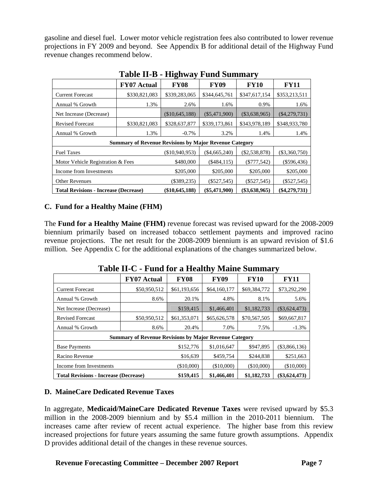gasoline and diesel fuel. Lower motor vehicle registration fees also contributed to lower revenue projections in FY 2009 and beyond. See Appendix B for additional detail of the Highway Fund revenue changes recommend below.

|                                                                                                                         |                                                               | $\bullet$      |                 |                 |                 |
|-------------------------------------------------------------------------------------------------------------------------|---------------------------------------------------------------|----------------|-----------------|-----------------|-----------------|
|                                                                                                                         | <b>FY07 Actual</b>                                            | <b>FY08</b>    | <b>FY09</b>     | <b>FY10</b>     | <b>FY11</b>     |
| <b>Current Forecast</b>                                                                                                 | \$330,821,083                                                 | \$339,283,065  | \$344,645,761   | \$347,617,154   | \$353,213,511   |
| Annual % Growth                                                                                                         | 1.3%                                                          | 2.6%           | 1.6%            | 0.9%            | 1.6%            |
| Net Increase (Decrease)                                                                                                 |                                                               | (\$10,645,188) | $(\$5,471,900)$ | $(\$3,638,965)$ | $(\$4,279,731)$ |
| <b>Revised Forecast</b>                                                                                                 | \$330,821,083                                                 | \$328,637,877  | \$339,173,861   | \$343,978,189   | \$348,933,780   |
| Annual % Growth                                                                                                         | 1.3%                                                          | $-0.7\%$       | 3.2%            | 1.4%            | 1.4%            |
|                                                                                                                         | <b>Summary of Revenue Revisions by Major Revenue Category</b> |                |                 |                 |                 |
| <b>Fuel Taxes</b>                                                                                                       |                                                               | (\$10,940,953) | $(\$4,665,240)$ | $(\$2,538,878)$ | $(\$3,360,750)$ |
| Motor Vehicle Registration & Fees                                                                                       |                                                               | \$480,000      | (\$484,115)     | $(\$777,542)$   | $(\$596,436)$   |
| Income from Investments                                                                                                 |                                                               | \$205,000      | \$205,000       | \$205,000       | \$205,000       |
| <b>Other Revenues</b>                                                                                                   |                                                               | $(\$389,235)$  | $(\$527,545)$   | $(\$527,545)$   | $(\$527,545)$   |
| $(\$5,471,900)$<br>$(\$4,279,731)$<br>(\$10,645,188)<br>$(\$3,638,965)$<br><b>Total Revisions - Increase (Decrease)</b> |                                                               |                |                 |                 |                 |

### **Table II-B - Highway Fund Summary**

#### **C. Fund for a Healthy Maine (FHM)**

The **Fund for a Healthy Maine (FHM)** revenue forecast was revised upward for the 2008-2009 biennium primarily based on increased tobacco settlement payments and improved racino revenue projections. The net result for the 2008-2009 biennium is an upward revision of \$1.6 million. See Appendix C for the additional explanations of the changes summarized below.

| Table II-C - Fund for a ficality ividine Summary |                                                                                                            |              |              |              |                 |  |  |  |
|--------------------------------------------------|------------------------------------------------------------------------------------------------------------|--------------|--------------|--------------|-----------------|--|--|--|
|                                                  | <b>FY07 Actual</b>                                                                                         | <b>FY08</b>  | <b>FY09</b>  | <b>FY10</b>  | <b>FY11</b>     |  |  |  |
| <b>Current Forecast</b>                          | \$50,950,512                                                                                               | \$61,193,656 | \$64,160,177 | \$69,384,772 | \$73,292,290    |  |  |  |
| Annual % Growth                                  | 8.6%                                                                                                       | 20.1%        | 4.8%         | 8.1%         | 5.6%            |  |  |  |
| Net Increase (Decrease)                          |                                                                                                            | \$159,415    | \$1,466,401  | \$1,182,733  | $(\$3,624,473)$ |  |  |  |
| <b>Revised Forecast</b>                          | \$50,950,512                                                                                               | \$61,353,071 | \$65,626,578 | \$70,567,505 | \$69,667,817    |  |  |  |
| Annual % Growth                                  | 8.6%                                                                                                       | 20.4%        | 7.0%         | 7.5%         | $-1.3%$         |  |  |  |
|                                                  | <b>Summary of Revenue Revisions by Major Revenue Category</b>                                              |              |              |              |                 |  |  |  |
| <b>Base Payments</b>                             |                                                                                                            | \$152,776    | \$1,016,647  | \$947,895    | (\$3,866,136)   |  |  |  |
| Racino Revenue                                   | \$16,639                                                                                                   | \$459,754    | \$244,838    | \$251,663    |                 |  |  |  |
| Income from Investments                          | (\$10,000)                                                                                                 | $(\$10,000)$ | (\$10,000)   | (\$10,000)   |                 |  |  |  |
|                                                  | \$159,415<br>\$1,466,401<br>\$1,182,733<br>$(\$3,624,473)$<br><b>Total Revisions - Increase (Decrease)</b> |              |              |              |                 |  |  |  |

**Table II-C - Fund for a Healthy Maine Summary** 

#### **D. MaineCare Dedicated Revenue Taxes**

In aggregate, **Medicaid/MaineCare Dedicated Revenue Taxes** were revised upward by \$5.3 million in the 2008-2009 biennium and by \$5.4 million in the 2010-2011 biennium. The increases came after review of recent actual experience. The higher base from this review increased projections for future years assuming the same future growth assumptions. Appendix D provides additional detail of the changes in these revenue sources.

**Revenue Forecasting Committee – December 2007 Report Page 7**